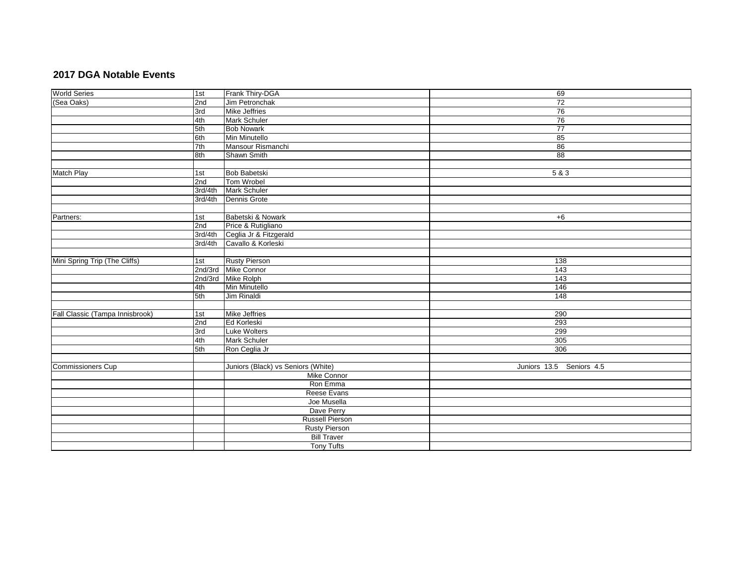## **2017 DGA Notable Events**

| <b>World Series</b>             | 1st     | Frank Thiry-DGA                    | 69                       |
|---------------------------------|---------|------------------------------------|--------------------------|
| (Sea Oaks)                      | 2nd     | Jim Petronchak                     | $\overline{72}$          |
|                                 | 3rd     | <b>Mike Jeffries</b>               | 76                       |
|                                 | 4th     | <b>Mark Schuler</b>                | 76                       |
|                                 | 5th     | <b>Bob Nowark</b>                  | $\overline{77}$          |
|                                 | 6th     | Min Minutello                      | 85                       |
|                                 | 7th     | Mansour Rismanchi                  | 86                       |
|                                 | 8th     | Shawn Smith                        | 88                       |
|                                 |         |                                    |                          |
| Match Play                      | 1st     | Bob Babetski                       | 5&3                      |
|                                 | 2nd     | Tom Wrobel                         |                          |
|                                 | 3rd/4th | Mark Schuler                       |                          |
|                                 | 3rd/4th | Dennis Grote                       |                          |
|                                 |         |                                    |                          |
| Partners:                       | 1st     | Babetski & Nowark                  | $+6$                     |
|                                 | 2nd     | Price & Rutigliano                 |                          |
|                                 | 3rd/4th | Ceglia Jr & Fitzgerald             |                          |
|                                 | 3rd/4th | Cavallo & Korleski                 |                          |
|                                 |         |                                    |                          |
| Mini Spring Trip (The Cliffs)   | 1st     | <b>Rusty Pierson</b>               | 138                      |
|                                 |         | 2nd/3rd Mike Connor                | 143                      |
|                                 |         | 2nd/3rd Mike Rolph                 | 143                      |
|                                 | 4th     | Min Minutello                      | 146                      |
|                                 | 5th     | <b>Jim Rinaldi</b>                 | 148                      |
|                                 |         |                                    |                          |
| Fall Classic (Tampa Innisbrook) | 1st     | <b>Mike Jeffries</b>               | 290                      |
|                                 | 2nd     | Ed Korleski                        | 293                      |
|                                 | 3rd     | Luke Wolters                       | 299                      |
|                                 | 4th     | Mark Schuler                       | 305                      |
|                                 | 5th     | Ron Ceglia Jr                      | 306                      |
|                                 |         |                                    |                          |
| <b>Commissioners Cup</b>        |         | Juniors (Black) vs Seniors (White) | Juniors 13.5 Seniors 4.5 |
|                                 |         | Mike Connor                        |                          |
|                                 |         | Ron Emma                           |                          |
|                                 |         | Reese Evans                        |                          |
|                                 |         | Joe Musella                        |                          |
|                                 |         | Dave Perry                         |                          |
|                                 |         | Russell Pierson                    |                          |
|                                 |         | <b>Rusty Pierson</b>               |                          |
|                                 |         | <b>Bill Traver</b>                 |                          |
|                                 |         | <b>Tony Tufts</b>                  |                          |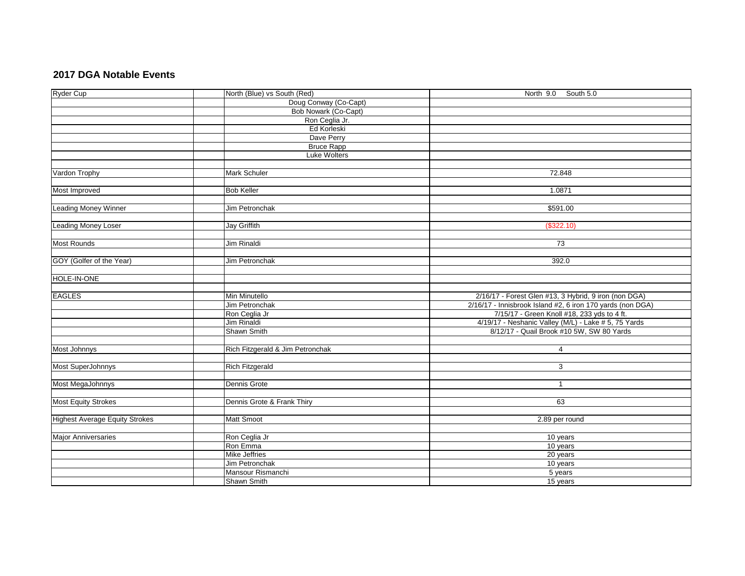## **2017 DGA Notable Events**

| Ryder Cup                             | North (Blue) vs South (Red)      | North 9.0 South 5.0                                        |
|---------------------------------------|----------------------------------|------------------------------------------------------------|
|                                       | Doug Conway (Co-Capt)            |                                                            |
|                                       | Bob Nowark (Co-Capt)             |                                                            |
|                                       | Ron Ceglia Jr.                   |                                                            |
|                                       | Ed Korleski                      |                                                            |
|                                       | Dave Perry                       |                                                            |
|                                       | <b>Bruce Rapp</b>                |                                                            |
|                                       | Luke Wolters                     |                                                            |
|                                       |                                  |                                                            |
| Vardon Trophy                         | <b>Mark Schuler</b>              | 72.848                                                     |
|                                       |                                  |                                                            |
| Most Improved                         | <b>Bob Keller</b>                | 1.0871                                                     |
|                                       |                                  |                                                            |
| <b>Leading Money Winner</b>           | Jim Petronchak                   | \$591.00                                                   |
|                                       |                                  |                                                            |
| <b>Leading Money Loser</b>            | <b>Jay Griffith</b>              | (\$322.10)                                                 |
|                                       |                                  |                                                            |
| <b>Most Rounds</b>                    | <b>Jim Rinaldi</b>               | $\overline{73}$                                            |
|                                       |                                  |                                                            |
| GOY (Golfer of the Year)              | Jim Petronchak                   | 392.0                                                      |
|                                       |                                  |                                                            |
| HOLE-IN-ONE                           |                                  |                                                            |
|                                       |                                  |                                                            |
| <b>EAGLES</b>                         | Min Minutello                    | 2/16/17 - Forest Glen #13, 3 Hybrid, 9 iron (non DGA)      |
|                                       | Jim Petronchak                   | 2/16/17 - Innisbrook Island #2, 6 iron 170 yards (non DGA) |
|                                       | Ron Ceglia Jr                    | 7/15/17 - Green Knoll #18, 233 yds to 4 ft.                |
|                                       | Jim Rinaldi                      | 4/19/17 - Neshanic Valley (M/L) - Lake # 5, 75 Yards       |
|                                       | Shawn Smith                      | 8/12/17 - Quail Brook #10 5W, SW 80 Yards                  |
|                                       |                                  |                                                            |
| Most Johnnys                          | Rich Fitzgerald & Jim Petronchak | $\overline{4}$                                             |
|                                       |                                  |                                                            |
| Most SuperJohnnys                     | <b>Rich Fitzgerald</b>           | 3                                                          |
|                                       |                                  |                                                            |
| Most MegaJohnnys                      | Dennis Grote                     | $\mathbf{1}$                                               |
|                                       |                                  |                                                            |
| <b>Most Equity Strokes</b>            | Dennis Grote & Frank Thiry       | 63                                                         |
|                                       |                                  |                                                            |
| <b>Highest Average Equity Strokes</b> | Matt Smoot                       | 2.89 per round                                             |
|                                       |                                  |                                                            |
| <b>Major Anniversaries</b>            | Ron Ceglia Jr                    | 10 years                                                   |
|                                       | Ron Emma                         | $\overline{10}$ years                                      |
|                                       | Mike Jeffries                    | 20 years                                                   |
|                                       | Jim Petronchak                   | 10 years                                                   |
|                                       | Mansour Rismanchi                | 5 years                                                    |
|                                       | Shawn Smith                      | 15 years                                                   |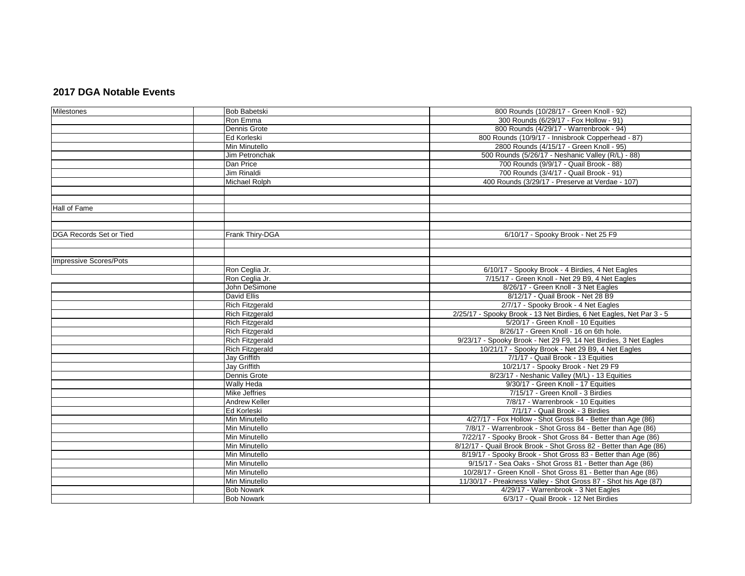## **2017 DGA Notable Events**

| Milestones                     | <b>Bob Babetski</b>    | 800 Rounds (10/28/17 - Green Knoll - 92)                             |
|--------------------------------|------------------------|----------------------------------------------------------------------|
|                                | Ron Emma               | 300 Rounds (6/29/17 - Fox Hollow - 91)                               |
|                                | Dennis Grote           | 800 Rounds (4/29/17 - Warrenbrook - 94)                              |
|                                | Ed Korleski            | 800 Rounds (10/9/17 - Innisbrook Copperhead - 87)                    |
|                                | Min Minutello          | 2800 Rounds (4/15/17 - Green Knoll - 95)                             |
|                                | Jim Petronchak         | 500 Rounds (5/26/17 - Neshanic Valley (R/L) - 88)                    |
|                                | Dan Price              | 700 Rounds (9/9/17 - Quail Brook - 88)                               |
|                                | <b>Jim Rinaldi</b>     | 700 Rounds (3/4/17 - Quail Brook - 91)                               |
|                                | Michael Rolph          | 400 Rounds (3/29/17 - Preserve at Verdae - 107)                      |
|                                |                        |                                                                      |
|                                |                        |                                                                      |
| Hall of Fame                   |                        |                                                                      |
|                                |                        |                                                                      |
|                                |                        |                                                                      |
| <b>DGA Records Set or Tied</b> | Frank Thiry-DGA        | 6/10/17 - Spooky Brook - Net 25 F9                                   |
|                                |                        |                                                                      |
|                                |                        |                                                                      |
| <b>Impressive Scores/Pots</b>  |                        |                                                                      |
|                                | Ron Ceglia Jr.         | 6/10/17 - Spooky Brook - 4 Birdies, 4 Net Eagles                     |
|                                | Ron Ceglia Jr.         | 7/15/17 - Green Knoll - Net 29 B9, 4 Net Eagles                      |
|                                | John DeSimone          | 8/26/17 - Green Knoll - 3 Net Eagles                                 |
|                                | David Ellis            | 8/12/17 - Quail Brook - Net 28 B9                                    |
|                                | <b>Rich Fitzgerald</b> | 2/7/17 - Spooky Brook - 4 Net Eagles                                 |
|                                | <b>Rich Fitzgerald</b> | 2/25/17 - Spooky Brook - 13 Net Birdies, 6 Net Eagles, Net Par 3 - 5 |
|                                | <b>Rich Fitzgerald</b> | 5/20/17 - Green Knoll - 10 Equities                                  |
|                                | <b>Rich Fitzgerald</b> | 8/26/17 - Green Knoll - 16 on 6th hole.                              |
|                                | <b>Rich Fitzgerald</b> | 9/23/17 - Spooky Brook - Net 29 F9, 14 Net Birdies, 3 Net Eagles     |
|                                | <b>Rich Fitzgerald</b> | 10/21/17 - Spooky Brook - Net 29 B9, 4 Net Eagles                    |
|                                | Jay Griffith           | 7/1/17 - Quail Brook - 13 Equities                                   |
|                                | Jay Griffith           | 10/21/17 - Spooky Brook - Net 29 F9                                  |
|                                | Dennis Grote           | 8/23/17 - Neshanic Valley (M/L) - 13 Equities                        |
|                                | Wally Heda             | 9/30/17 - Green Knoll - 17 Equities                                  |
|                                | Mike Jeffries          | 7/15/17 - Green Knoll - 3 Birdies                                    |
|                                | <b>Andrew Keller</b>   | 7/8/17 - Warrenbrook - 10 Equities                                   |
|                                | Ed Korleski            | 7/1/17 - Quail Brook - 3 Birdies                                     |
|                                | Min Minutello          | 4/27/17 - Fox Hollow - Shot Gross 84 - Better than Age (86)          |
|                                | <b>Min Minutello</b>   | 7/8/17 - Warrenbrook - Shot Gross 84 - Better than Age (86)          |
|                                | Min Minutello          | 7/22/17 - Spooky Brook - Shot Gross 84 - Better than Age (86)        |
|                                | Min Minutello          | 8/12/17 - Quail Brook Brook - Shot Gross 82 - Better than Age (86)   |
|                                | Min Minutello          | 8/19/17 - Spooky Brook - Shot Gross 83 - Better than Age (86)        |
|                                | Min Minutello          | 9/15/17 - Sea Oaks - Shot Gross 81 - Better than Age (86)            |
|                                | Min Minutello          | 10/28/17 - Green Knoll - Shot Gross 81 - Better than Age (86)        |
|                                | Min Minutello          | 11/30/17 - Preakness Valley - Shot Gross 87 - Shot his Age (87)      |
|                                | <b>Bob Nowark</b>      | 4/29/17 - Warrenbrook - 3 Net Eagles                                 |
|                                | <b>Bob Nowark</b>      | 6/3/17 - Quail Brook - 12 Net Birdies                                |